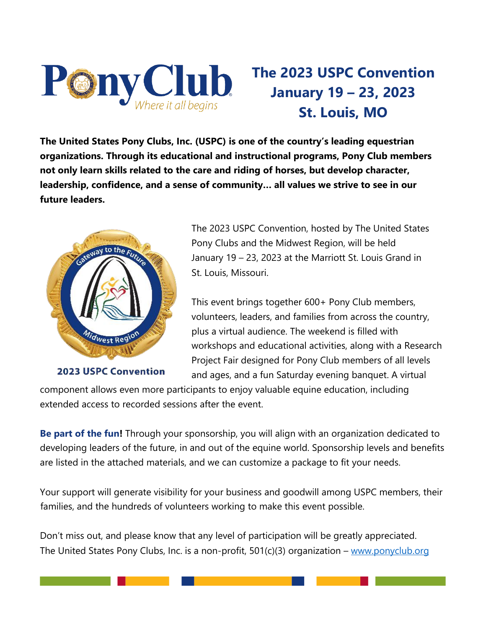

## **The 2023 USPC Convention January 19 – 23, 2023 St. Louis, MO**

**The United States Pony Clubs, Inc. (USPC) is one of the country's leading equestrian organizations. Through its educational and instructional programs, Pony Club members not only learn skills related to the care and riding of horses, but develop character, leadership, confidence, and a sense of community… all values we strive to see in our future leaders.** 



**2023 USPC Convention** 

The 2023 USPC Convention, hosted by The United States Pony Clubs and the Midwest Region, will be held January 19 – 23, 2023 at the Marriott St. Louis Grand in St. Louis, Missouri.

This event brings together 600+ Pony Club members, volunteers, leaders, and families from across the country, plus a virtual audience. The weekend is filled with workshops and educational activities, along with a Research Project Fair designed for Pony Club members of all levels and ages, and a fun Saturday evening banquet. A virtual

component allows even more participants to enjoy valuable equine education, including extended access to recorded sessions after the event.

**Be part of the fun!** Through your sponsorship, you will align with an organization dedicated to developing leaders of the future, in and out of the equine world. Sponsorship levels and benefits are listed in the attached materials, and we can customize a package to fit your needs.

Your support will generate visibility for your business and goodwill among USPC members, their families, and the hundreds of volunteers working to make this event possible.

Don't miss out, and please know that any level of participation will be greatly appreciated. The United States Pony Clubs, Inc. is a non-profit, 501(c)(3) organization – [www.ponyclub.org](http://www.ponyclub.org/)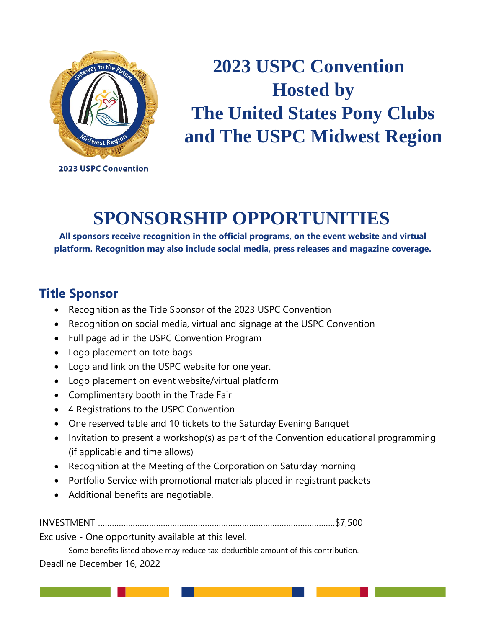

# **2023 USPC Convention Hosted by The United States Pony Clubs and The USPC Midwest Region**

**2023 USPC Convention** 

## **SPONSORSHIP OPPORTUNITIES**

**All sponsors receive recognition in the official programs, on the event website and virtual platform. Recognition may also include social media, press releases and magazine coverage.**

#### **Title Sponsor**

- Recognition as the Title Sponsor of the 2023 USPC Convention
- Recognition on social media, virtual and signage at the USPC Convention
- Full page ad in the USPC Convention Program
- Logo placement on tote bags
- Logo and link on the USPC website for one year.
- Logo placement on event website/virtual platform
- Complimentary booth in the Trade Fair
- 4 Registrations to the USPC Convention
- One reserved table and 10 tickets to the Saturday Evening Banquet
- Invitation to present a workshop(s) as part of the Convention educational programming (if applicable and time allows)
- Recognition at the Meeting of the Corporation on Saturday morning
- Portfolio Service with promotional materials placed in registrant packets
- Additional benefits are negotiable.

INVESTMENT …………………………………………………………………………………………\$7,500

Exclusive - One opportunity available at this level.

Some benefits listed above may reduce tax-deductible amount of this contribution.

Deadline December 16, 2022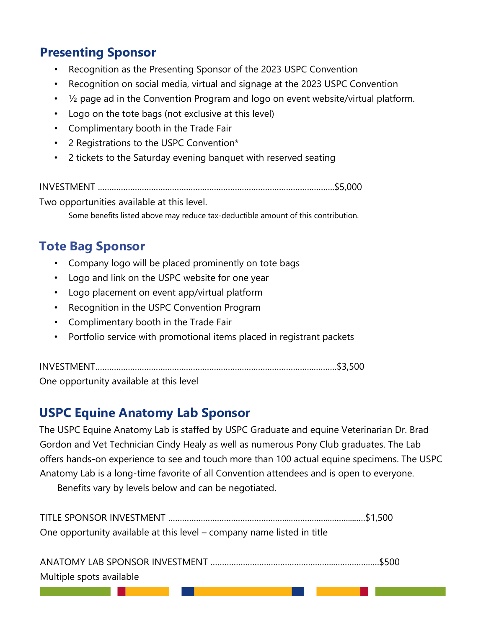#### **Presenting Sponsor**

- Recognition as the Presenting Sponsor of the 2023 USPC Convention
- Recognition on social media, virtual and signage at the 2023 USPC Convention
- $\frac{1}{2}$  page ad in the Convention Program and logo on event website/virtual platform.
- Logo on the tote bags (not exclusive at this level)
- Complimentary booth in the Trade Fair
- 2 Registrations to the USPC Convention\*
- 2 tickets to the Saturday evening banquet with reserved seating

INVESTMENT .………………………………………………………………………………………..\$5,000

Two opportunities available at this level.

Some benefits listed above may reduce tax-deductible amount of this contribution.

### **Tote Bag Sponsor**

- Company logo will be placed prominently on tote bags
- Logo and link on the USPC website for one year
- Logo placement on event app/virtual platform
- Recognition in the USPC Convention Program
- Complimentary booth in the Trade Fair
- Portfolio service with promotional items placed in registrant packets

INVESTMENT………………………………………………………………………………….……….\$3,500

One opportunity available at this level

#### **USPC Equine Anatomy Lab Sponsor**

The USPC Equine Anatomy Lab is staffed by USPC Graduate and equine Veterinarian Dr. Brad Gordon and Vet Technician Cindy Healy as well as numerous Pony Club graduates. The Lab offers hands-on experience to see and touch more than 100 actual equine specimens. The USPC Anatomy Lab is a long-time favorite of all Convention attendees and is open to everyone.

Benefits vary by levels below and can be negotiated.

TITLE SPONSOR INVESTMENT ……………………………………………..………….…..…….....….\$1,500 One opportunity available at this level – company name listed in title

| Multiple spots available |  |
|--------------------------|--|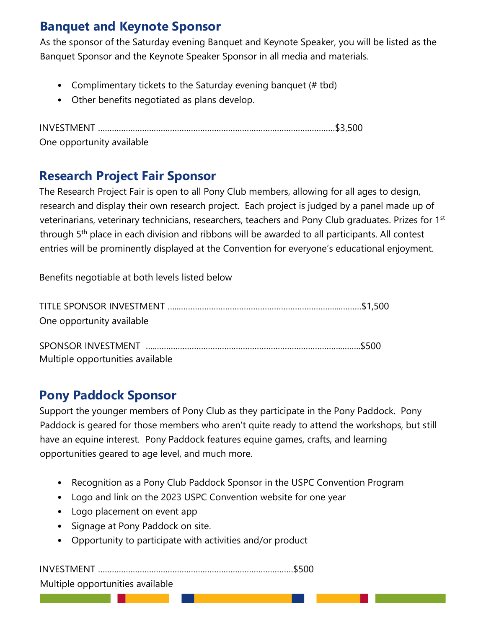#### **Banquet and Keynote Sponsor**

As the sponsor of the Saturday evening Banquet and Keynote Speaker, you will be listed as the Banquet Sponsor and the Keynote Speaker Sponsor in all media and materials.

- Complimentary tickets to the Saturday evening banquet (# tbd)
- Other benefits negotiated as plans develop.

INVESTMENT …………………………………………………………………………………………\$3,500 One opportunity available

#### **Research Project Fair Sponsor**

The Research Project Fair is open to all Pony Club members, allowing for all ages to design, research and display their own research project. Each project is judged by a panel made up of veterinarians, veterinary technicians, researchers, teachers and Pony Club graduates. Prizes for 1st through 5th place in each division and ribbons will be awarded to all participants. All contest entries will be prominently displayed at the Convention for everyone's educational enjoyment.

Benefits negotiable at both levels listed below

| One opportunity available        |  |
|----------------------------------|--|
|                                  |  |
|                                  |  |
| Multiple opportunities available |  |

#### **Pony Paddock Sponsor**

Support the younger members of Pony Club as they participate in the Pony Paddock. Pony Paddock is geared for those members who aren't quite ready to attend the workshops, but still have an equine interest. Pony Paddock features equine games, crafts, and learning opportunities geared to age level, and much more.

- Recognition as a Pony Club Paddock Sponsor in the USPC Convention Program
- Logo and link on the 2023 USPC Convention website for one year
- Logo placement on event app
- Signage at Pony Paddock on site.
- Opportunity to participate with activities and/or product

INVESTMENT …………………………………………………………………………\$500 Multiple opportunities available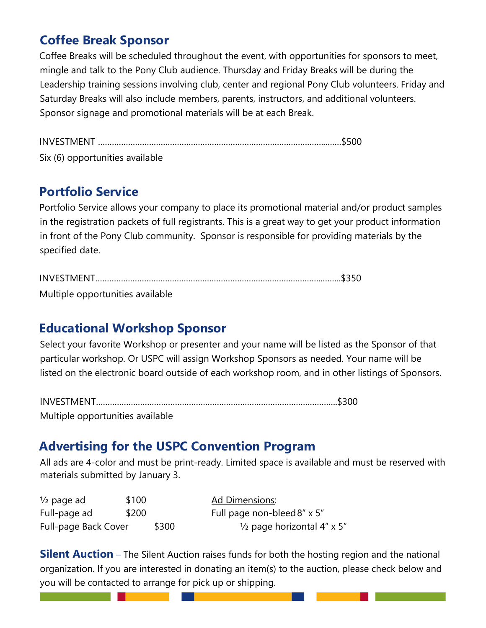#### **Coffee Break Sponsor**

Coffee Breaks will be scheduled throughout the event, with opportunities for sponsors to meet, mingle and talk to the Pony Club audience. Thursday and Friday Breaks will be during the Leadership training sessions involving club, center and regional Pony Club volunteers. Friday and Saturday Breaks will also include members, parents, instructors, and additional volunteers. Sponsor signage and promotional materials will be at each Break.

INVESTMENT ……………………………………………………………………………………..…….\$500 Six (6) opportunities available

#### **Portfolio Service**

Portfolio Service allows your company to place its promotional material and/or product samples in the registration packets of full registrants. This is a great way to get your product information in front of the Pony Club community. Sponsor is responsible for providing materials by the specified date.

INVESTMENT……………………………………………………………………………………..……..\$350

Multiple opportunities available

#### **Educational Workshop Sponsor**

Select your favorite Workshop or presenter and your name will be listed as the Sponsor of that particular workshop. Or USPC will assign Workshop Sponsors as needed. Your name will be listed on the electronic board outside of each workshop room, and in other listings of Sponsors.

| Multiple opportunities available |  |
|----------------------------------|--|

#### **Advertising for the USPC Convention Program**

All ads are 4-color and must be print-ready. Limited space is available and must be reserved with materials submitted by January 3.

| $\frac{1}{2}$ page ad | \$100 |       | Ad <u>Dimensions</u> :                |
|-----------------------|-------|-------|---------------------------------------|
| Full-page ad          | \$200 |       | Full page non-bleed 8" x 5"           |
| Full-page Back Cover  |       | \$300 | $\frac{1}{2}$ page horizontal 4" x 5" |

**Silent Auction** – The Silent Auction raises funds for both the hosting region and the national organization. If you are interested in donating an item(s) to the auction, please check below and you will be contacted to arrange for pick up or shipping.